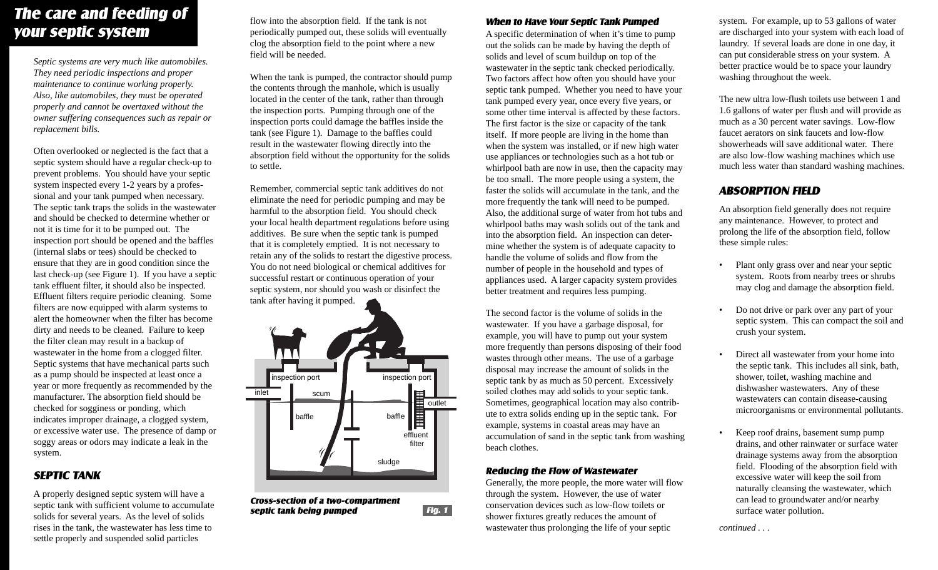## *The care and feeding of your septic system*

*Septic systems are very much like automobiles. They need periodic inspections and proper maintenance to continue working properly. Also, like automobiles, they must be operated properly and cannot be overtaxed without the owner suffering consequences such as repair or replacement bills.*

Often overlooked or neglected is the fact that a septic system should have a regular check-up to prevent problems. You should have your septic system inspected every 1-2 years by a professional and your tank pumped when necessary. The septic tank traps the solids in the wastewater and should be checked to determine whether or not it is time for it to be pumped out. The inspection port should be opened and the baffles (internal slabs or tees) should be checked to ensure that they are in good condition since the last check-up (see Figure 1). If you have a septic tank effluent filter, it should also be inspected. Effluent filters require periodic cleaning. Some filters are now equipped with alarm systems to alert the homeowner when the filter has become dirty and needs to be cleaned. Failure to keep the filter clean may result in a backup of wastewater in the home from a clogged filter. Septic systems that have mechanical parts such as a pump should be inspected at least once a year or more frequently as recommended by the manufacturer. The absorption field should be checked for sogginess or ponding, which indicates improper drainage, a clogged system, or excessive water use. The presence of damp or soggy areas or odors may indicate a leak in the system.

### *SEPTIC TANK*

A properly designed septic system will have a septic tank with sufficient volume to accumulate solids for several years. As the level of solids rises in the tank, the wastewater has less time to settle properly and suspended solid particles

flow into the absorption field. If the tank is not periodically pumped out, these solids will eventually clog the absorption field to the point where a new field will be needed.

When the tank is pumped, the contractor should pump the contents through the manhole, which is usually located in the center of the tank, rather than through the inspection ports. Pumping through one of the inspection ports could damage the baffles inside the tank (see Figure 1). Damage to the baffles could result in the wastewater flowing directly into the absorption field without the opportunity for the solids to settle.

Remember, commercial septic tank additives do not eliminate the need for periodic pumping and may be harmful to the absorption field. You should check your local health department regulations before using additives. Be sure when the septic tank is pumped that it is completely emptied. It is not necessary to retain any of the solids to restart the digestive process. You do not need biological or chemical additives for successful restart or continuous operation of your septic system, nor should you wash or disinfect the tank after having it pumped.



*Cross-section of a two-compartment septic tank being pumped*

#### *When to Have Your Septic Tank Pumped*

A specific determination of when it's time to pump out the solids can be made by having the depth of solids and level of scum buildup on top of the wastewater in the septic tank checked periodically. Two factors affect how often you should have your septic tank pumped. Whether you need to have your tank pumped every year, once every five years, or some other time interval is affected by these factors. The first factor is the size or capacity of the tank itself. If more people are living in the home than when the system was installed, or if new high water use appliances or technologies such as a hot tub or whirlpool bath are now in use, then the capacity may be too small. The more people using a system, the faster the solids will accumulate in the tank, and the more frequently the tank will need to be pumped. Also, the additional surge of water from hot tubs and whirlpool baths may wash solids out of the tank and into the absorption field. An inspection can determine whether the system is of adequate capacity to handle the volume of solids and flow from the number of people in the household and types of appliances used. A larger capacity system provides better treatment and requires less pumping.

The second factor is the volume of solids in the wastewater. If you have a garbage disposal, for example, you will have to pump out your system more frequently than persons disposing of their food wastes through other means. The use of a garbage disposal may increase the amount of solids in the septic tank by as much as 50 percent. Excessively soiled clothes may add solids to your septic tank. Sometimes, geographical location may also contribute to extra solids ending up in the septic tank. For example, systems in coastal areas may have an accumulation of sand in the septic tank from washing beach clothes.

#### *Reducing the Flow of Wastewater*

Generally, the more people, the more water will flow through the system. However, the use of water conservation devices such as low-flow toilets or **Fig. 1** shower fixtures greatly reduces the amount of surface water pollution. wastewater thus prolonging the life of your septic

system. For example, up to 53 gallons of water are discharged into your system with each load of laundry. If several loads are done in one day, it can put considerable stress on your system. A better practice would be to space your laundry washing throughout the week.

The new ultra low-flush toilets use between 1 and 1.6 gallons of water per flush and will provide as much as a 30 percent water savings. Low-flow faucet aerators on sink faucets and low-flow showerheads will save additional water. There are also low-flow washing machines which use much less water than standard washing machines.

#### *ABSORPTION FIELD*

An absorption field generally does not require any maintenance. However, to protect and prolong the life of the absorption field, follow these simple rules:

- Plant only grass over and near your septic system. Roots from nearby trees or shrubs may clog and damage the absorption field.
- Do not drive or park over any part of your septic system. This can compact the soil and crush your system.
- Direct all wastewater from your home into the septic tank. This includes all sink, bath, shower, toilet, washing machine and dishwasher wastewaters. Any of these wastewaters can contain disease-causing microorganisms or environmental pollutants.
- Keep roof drains, basement sump pump drains, and other rainwater or surface water drainage systems away from the absorption field. Flooding of the absorption field with excessive water will keep the soil from naturally cleansing the wastewater, which can lead to groundwater and/or nearby

*continued . . .*